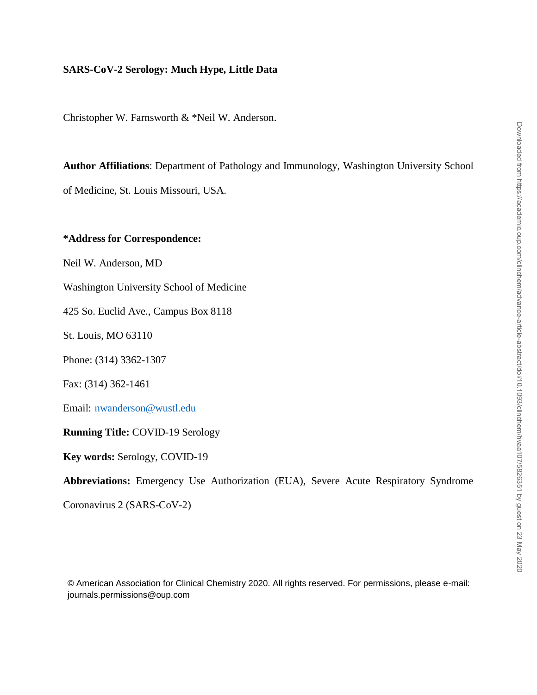## **SARS-CoV-2 Serology: Much Hype, Little Data**

Christopher W. Farnsworth & \*Neil W. Anderson.

**Author Affiliations**: Department of Pathology and Immunology, Washington University School of Medicine, St. Louis Missouri, USA.

## **\*Address for Correspondence:**

Neil W. Anderson, MD

Washington University School of Medicine

425 So. Euclid Ave., Campus Box 8118

St. Louis, MO 63110

Phone: (314) 3362-1307

Fax: (314) 362-1461

Email: nwanderson@wustl.edu

**Running Title:** COVID-19 Serology

**Key words:** Serology, COVID-19

**Abbreviations:** Emergency Use Authorization (EUA), Severe Acute Respiratory Syndrome

Coronavirus 2 (SARS-CoV-2)

© American Association for Clinical Chemistry 2020. All rights reserved. For permissions, please e-mail: journals.permissions@oup.com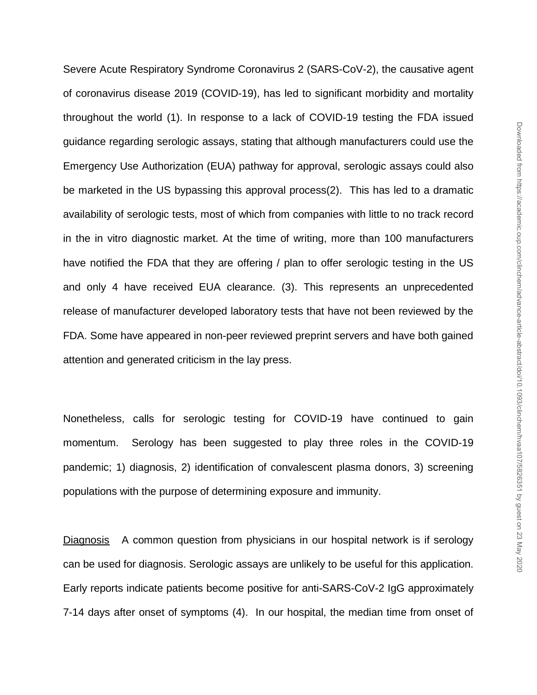Severe Acute Respiratory Syndrome Coronavirus 2 (SARS-CoV-2), the causative agent of coronavirus disease 2019 (COVID-19), has led to significant morbidity and mortality throughout the world (1). In response to a lack of COVID-19 testing the FDA issued guidance regarding serologic assays, stating that although manufacturers could use the Emergency Use Authorization (EUA) pathway for approval, serologic assays could also be marketed in the US bypassing this approval process(2). This has led to a dramatic availability of serologic tests, most of which from companies with little to no track record in the in vitro diagnostic market. At the time of writing, more than 100 manufacturers have notified the FDA that they are offering / plan to offer serologic testing in the US and only 4 have received EUA clearance. (3). This represents an unprecedented release of manufacturer developed laboratory tests that have not been reviewed by the FDA. Some have appeared in non-peer reviewed preprint servers and have both gained attention and generated criticism in the lay press.

Nonetheless, calls for serologic testing for COVID-19 have continued to gain momentum. Serology has been suggested to play three roles in the COVID-19 pandemic; 1) diagnosis, 2) identification of convalescent plasma donors, 3) screening populations with the purpose of determining exposure and immunity.

Diagnosis A common question from physicians in our hospital network is if serology can be used for diagnosis. Serologic assays are unlikely to be useful for this application. Early reports indicate patients become positive for anti-SARS-CoV-2 IgG approximately 7-14 days after onset of symptoms (4). In our hospital, the median time from onset of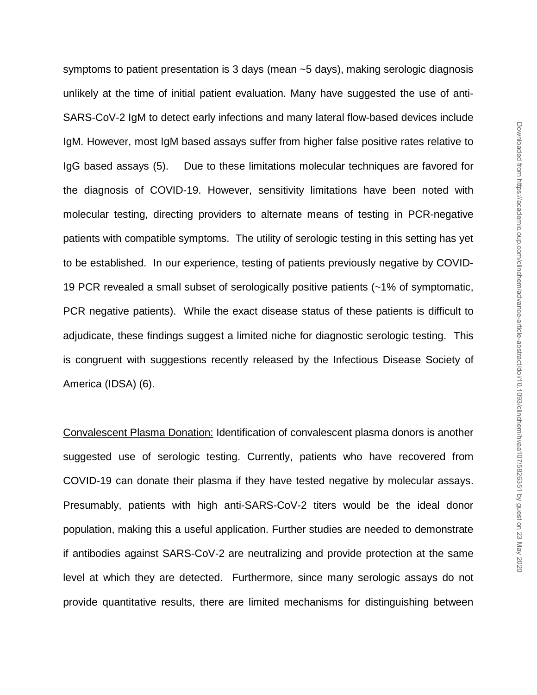symptoms to patient presentation is 3 days (mean ~5 days), making serologic diagnosis unlikely at the time of initial patient evaluation. Many have suggested the use of anti-SARS-CoV-2 IgM to detect early infections and many lateral flow-based devices include IgM. However, most IgM based assays suffer from higher false positive rates relative to IgG based assays (5). Due to these limitations molecular techniques are favored for the diagnosis of COVID-19. However, sensitivity limitations have been noted with molecular testing, directing providers to alternate means of testing in PCR-negative patients with compatible symptoms. The utility of serologic testing in this setting has yet to be established. In our experience, testing of patients previously negative by COVID-19 PCR revealed a small subset of serologically positive patients (~1% of symptomatic, PCR negative patients). While the exact disease status of these patients is difficult to adjudicate, these findings suggest a limited niche for diagnostic serologic testing. This is congruent with suggestions recently released by the Infectious Disease Society of America (IDSA) (6).

Convalescent Plasma Donation: Identification of convalescent plasma donors is another suggested use of serologic testing. Currently, patients who have recovered from COVID-19 can donate their plasma if they have tested negative by molecular assays. Presumably, patients with high anti-SARS-CoV-2 titers would be the ideal donor population, making this a useful application. Further studies are needed to demonstrate if antibodies against SARS-CoV-2 are neutralizing and provide protection at the same level at which they are detected. Furthermore, since many serologic assays do not provide quantitative results, there are limited mechanisms for distinguishing between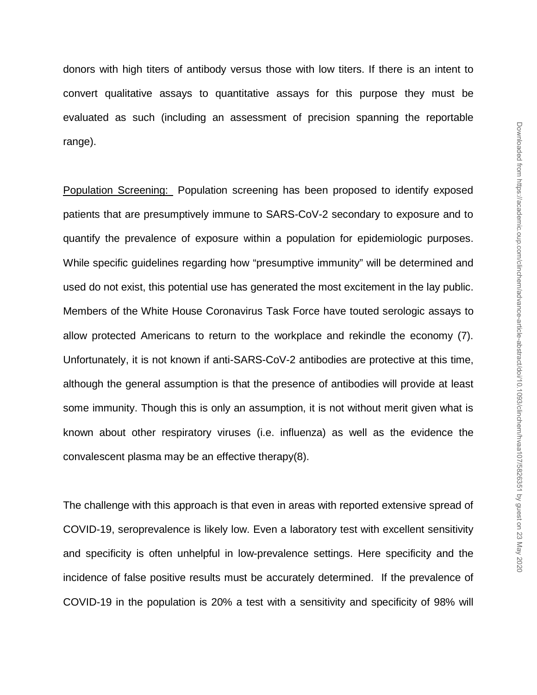donors with high titers of antibody versus those with low titers. If there is an intent to convert qualitative assays to quantitative assays for this purpose they must be evaluated as such (including an assessment of precision spanning the reportable range).

Population Screening: Population screening has been proposed to identify exposed patients that are presumptively immune to SARS-CoV-2 secondary to exposure and to quantify the prevalence of exposure within a population for epidemiologic purposes. While specific guidelines regarding how "presumptive immunity" will be determined and used do not exist, this potential use has generated the most excitement in the lay public. Members of the White House Coronavirus Task Force have touted serologic assays to allow protected Americans to return to the workplace and rekindle the economy (7). Unfortunately, it is not known if anti-SARS-CoV-2 antibodies are protective at this time, although the general assumption is that the presence of antibodies will provide at least some immunity. Though this is only an assumption, it is not without merit given what is known about other respiratory viruses (i.e. influenza) as well as the evidence the convalescent plasma may be an effective therapy(8).

The challenge with this approach is that even in areas with reported extensive spread of COVID-19, seroprevalence is likely low. Even a laboratory test with excellent sensitivity and specificity is often unhelpful in low-prevalence settings. Here specificity and the incidence of false positive results must be accurately determined. If the prevalence of COVID-19 in the population is 20% a test with a sensitivity and specificity of 98% will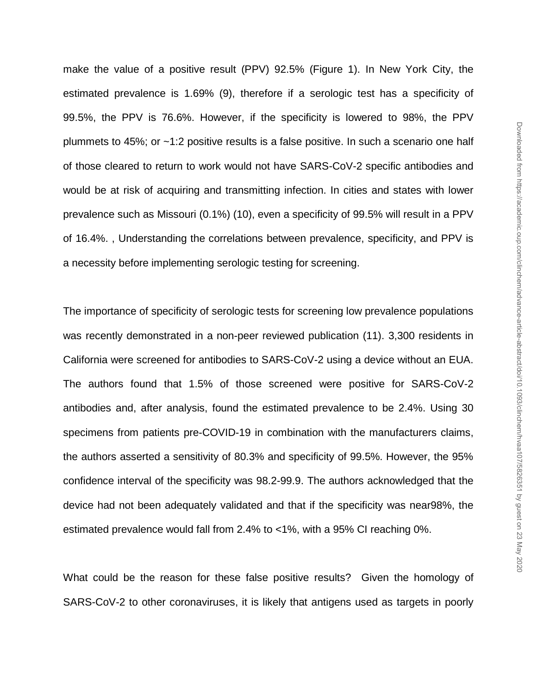make the value of a positive result (PPV) 92.5% (Figure 1). In New York City, the estimated prevalence is 1.69% (9), therefore if a serologic test has a specificity of 99.5%, the PPV is 76.6%. However, if the specificity is lowered to 98%, the PPV plummets to 45%; or ~1:2 positive results is a false positive. In such a scenario one half of those cleared to return to work would not have SARS-CoV-2 specific antibodies and would be at risk of acquiring and transmitting infection. In cities and states with lower prevalence such as Missouri (0.1%) (10), even a specificity of 99.5% will result in a PPV of 16.4%. , Understanding the correlations between prevalence, specificity, and PPV is a necessity before implementing serologic testing for screening.

The importance of specificity of serologic tests for screening low prevalence populations was recently demonstrated in a non-peer reviewed publication (11). 3,300 residents in California were screened for antibodies to SARS-CoV-2 using a device without an EUA. The authors found that 1.5% of those screened were positive for SARS-CoV-2 antibodies and, after analysis, found the estimated prevalence to be 2.4%. Using 30 specimens from patients pre-COVID-19 in combination with the manufacturers claims, the authors asserted a sensitivity of 80.3% and specificity of 99.5%. However, the 95% confidence interval of the specificity was 98.2-99.9. The authors acknowledged that the device had not been adequately validated and that if the specificity was near98%, the estimated prevalence would fall from 2.4% to <1%, with a 95% CI reaching 0%.

What could be the reason for these false positive results? Given the homology of SARS-CoV-2 to other coronaviruses, it is likely that antigens used as targets in poorly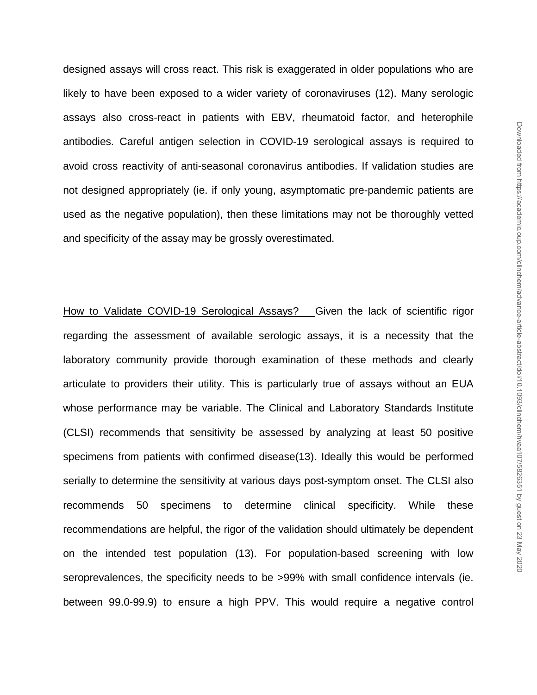designed assays will cross react. This risk is exaggerated in older populations who are likely to have been exposed to a wider variety of coronaviruses (12). Many serologic assays also cross-react in patients with EBV, rheumatoid factor, and heterophile antibodies. Careful antigen selection in COVID-19 serological assays is required to avoid cross reactivity of anti-seasonal coronavirus antibodies. If validation studies are not designed appropriately (ie. if only young, asymptomatic pre-pandemic patients are used as the negative population), then these limitations may not be thoroughly vetted and specificity of the assay may be grossly overestimated.

How to Validate COVID-19 Serological Assays? Given the lack of scientific rigor regarding the assessment of available serologic assays, it is a necessity that the laboratory community provide thorough examination of these methods and clearly articulate to providers their utility. This is particularly true of assays without an EUA whose performance may be variable. The Clinical and Laboratory Standards Institute (CLSI) recommends that sensitivity be assessed by analyzing at least 50 positive specimens from patients with confirmed disease(13). Ideally this would be performed serially to determine the sensitivity at various days post-symptom onset. The CLSI also recommends 50 specimens to determine clinical specificity. While these recommendations are helpful, the rigor of the validation should ultimately be dependent on the intended test population (13). For population-based screening with low seroprevalences, the specificity needs to be >99% with small confidence intervals (ie. between 99.0-99.9) to ensure a high PPV. This would require a negative control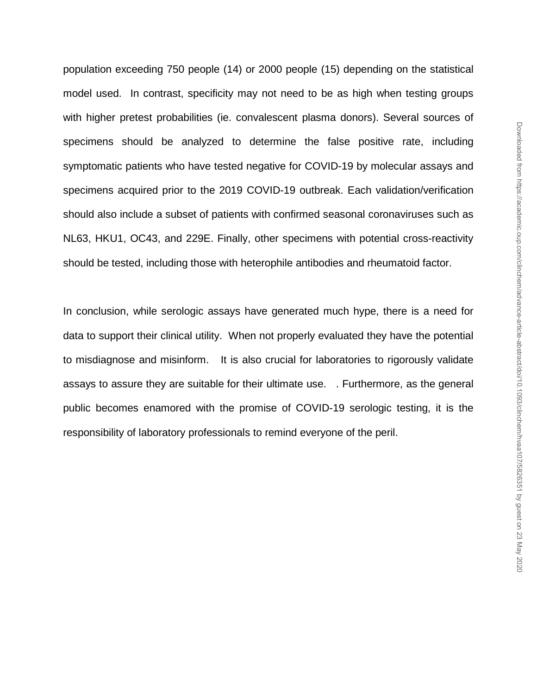population exceeding 750 people (14) or 2000 people (15) depending on the statistical model used. In contrast, specificity may not need to be as high when testing groups with higher pretest probabilities (ie. convalescent plasma donors). Several sources of specimens should be analyzed to determine the false positive rate, including symptomatic patients who have tested negative for COVID-19 by molecular assays and specimens acquired prior to the 2019 COVID-19 outbreak. Each validation/verification should also include a subset of patients with confirmed seasonal coronaviruses such as NL63, HKU1, OC43, and 229E. Finally, other specimens with potential cross-reactivity should be tested, including those with heterophile antibodies and rheumatoid factor.

In conclusion, while serologic assays have generated much hype, there is a need for data to support their clinical utility. When not properly evaluated they have the potential to misdiagnose and misinform. It is also crucial for laboratories to rigorously validate assays to assure they are suitable for their ultimate use. . Furthermore, as the general public becomes enamored with the promise of COVID-19 serologic testing, it is the responsibility of laboratory professionals to remind everyone of the peril.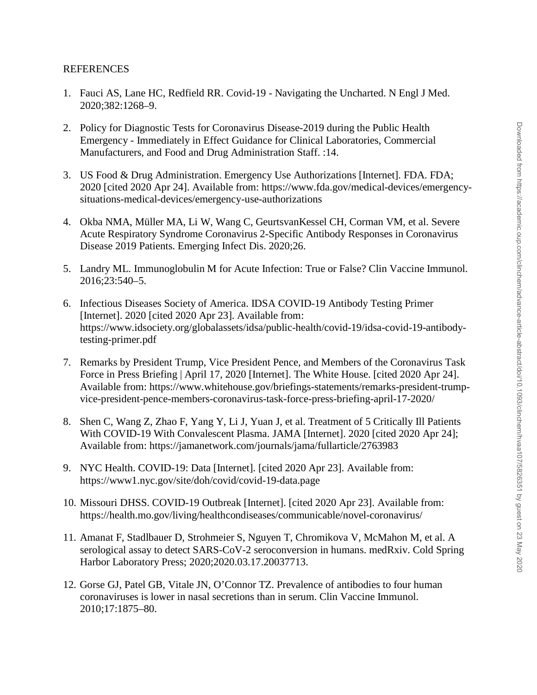## **REFERENCES**

- 1. Fauci AS, Lane HC, Redfield RR. Covid-19 Navigating the Uncharted. N Engl J Med. 2020;382:1268–9.
- 2. Policy for Diagnostic Tests for Coronavirus Disease-2019 during the Public Health Emergency - Immediately in Effect Guidance for Clinical Laboratories, Commercial Manufacturers, and Food and Drug Administration Staff. :14.
- 3. US Food & Drug Administration. Emergency Use Authorizations [Internet]. FDA. FDA; 2020 [cited 2020 Apr 24]. Available from: https://www.fda.gov/medical-devices/emergencysituations-medical-devices/emergency-use-authorizations
- 4. Okba NMA, Müller MA, Li W, Wang C, GeurtsvanKessel CH, Corman VM, et al. Severe Acute Respiratory Syndrome Coronavirus 2-Specific Antibody Responses in Coronavirus Disease 2019 Patients. Emerging Infect Dis. 2020;26.
- 5. Landry ML. Immunoglobulin M for Acute Infection: True or False? Clin Vaccine Immunol. 2016;23:540–5.
- 6. Infectious Diseases Society of America. IDSA COVID-19 Antibody Testing Primer [Internet]. 2020 [cited 2020 Apr 23]. Available from: https://www.idsociety.org/globalassets/idsa/public-health/covid-19/idsa-covid-19-antibodytesting-primer.pdf
- 7. Remarks by President Trump, Vice President Pence, and Members of the Coronavirus Task Force in Press Briefing | April 17, 2020 [Internet]. The White House. [cited 2020 Apr 24]. Available from: https://www.whitehouse.gov/briefings-statements/remarks-president-trumpvice-president-pence-members-coronavirus-task-force-press-briefing-april-17-2020/
- 8. Shen C, Wang Z, Zhao F, Yang Y, Li J, Yuan J, et al. Treatment of 5 Critically Ill Patients With COVID-19 With Convalescent Plasma. JAMA [Internet]. 2020 [cited 2020 Apr 24]; Available from: https://jamanetwork.com/journals/jama/fullarticle/2763983
- 9. NYC Health. COVID-19: Data [Internet]. [cited 2020 Apr 23]. Available from: https://www1.nyc.gov/site/doh/covid/covid-19-data.page
- 10. Missouri DHSS. COVID-19 Outbreak [Internet]. [cited 2020 Apr 23]. Available from: https://health.mo.gov/living/healthcondiseases/communicable/novel-coronavirus/
- 11. Amanat F, Stadlbauer D, Strohmeier S, Nguyen T, Chromikova V, McMahon M, et al. A serological assay to detect SARS-CoV-2 seroconversion in humans. medRxiv. Cold Spring Harbor Laboratory Press; 2020;2020.03.17.20037713.
- 12. Gorse GJ, Patel GB, Vitale JN, O'Connor TZ. Prevalence of antibodies to four human coronaviruses is lower in nasal secretions than in serum. Clin Vaccine Immunol. 2010;17:1875–80.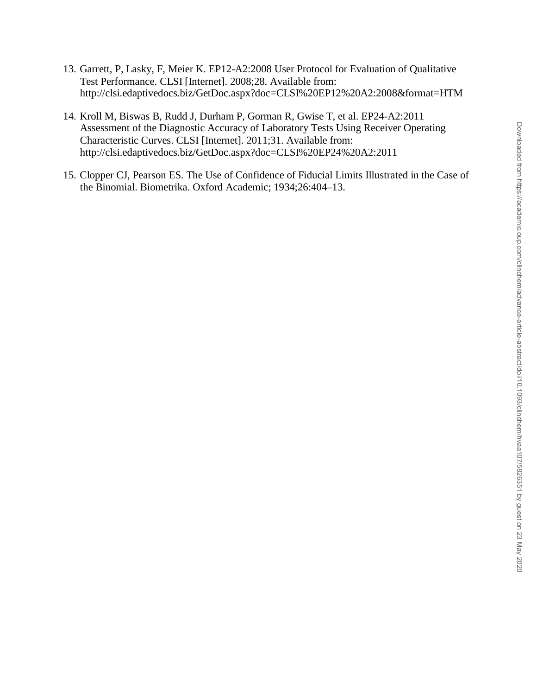- 13. Garrett, P, Lasky, F, Meier K. EP12-A2:2008 User Protocol for Evaluation of Qualitative Test Performance. CLSI [Internet]. 2008;28. Available from: http://clsi.edaptivedocs.biz/GetDoc.aspx?doc=CLSI%20EP12%20A2:2008&format=HTM
- 14. Kroll M, Biswas B, Rudd J, Durham P, Gorman R, Gwise T, et al. EP24-A2:2011 Assessment of the Diagnostic Accuracy of Laboratory Tests Using Receiver Operating Characteristic Curves. CLSI [Internet]. 2011;31. Available from: http://clsi.edaptivedocs.biz/GetDoc.aspx?doc=CLSI%20EP24%20A2:2011
- 15. Clopper CJ, Pearson ES. The Use of Confidence of Fiducial Limits Illustrated in the Case of the Binomial. Biometrika. Oxford Academic; 1934;26:404–13.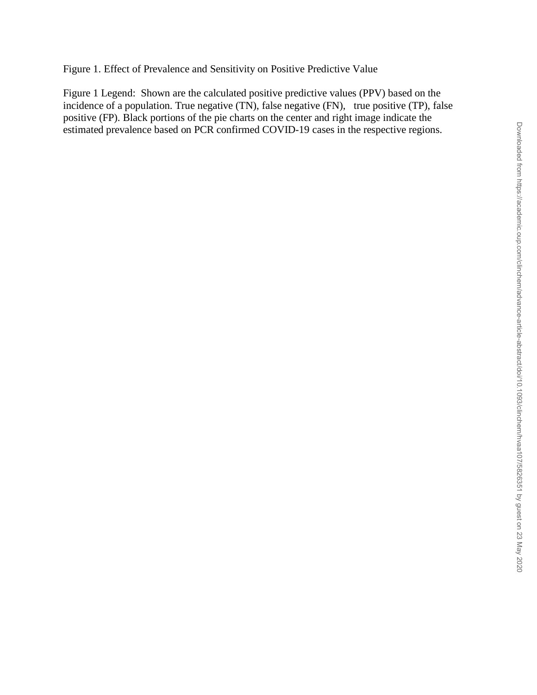Figure 1. Effect of Prevalence and Sensitivity on Positive Predictive Value

Figure 1 Legend: Shown are the calculated positive predictive values (PPV) based on the incidence of a population. True negative (TN), false negative (FN), true positive (TP), false positive (FP). Black portions of the pie charts on the center and right image indicate the estimated prevalence based on PCR confirmed COVID-19 cases in the respective regions.